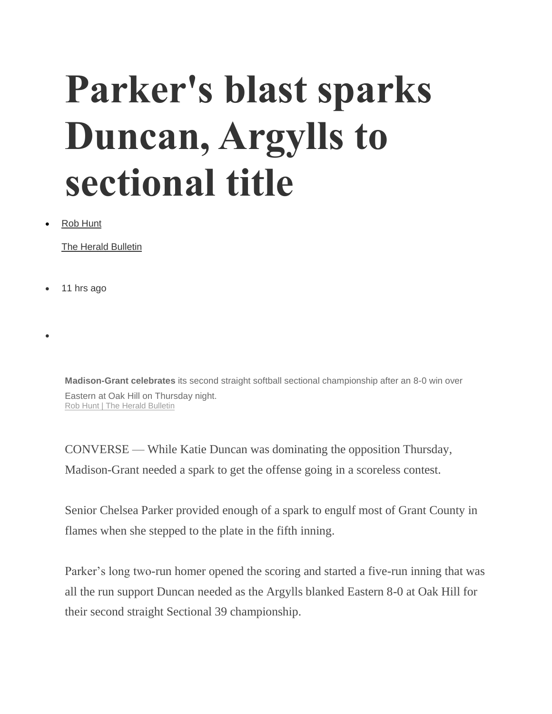## **Parker's blast sparks Duncan, Argylls to sectional title**

• [Rob Hunt](https://www.heraldbulletin.com/users/profile/Rob%20Hunt)

[The Herald Bulletin](https://www.heraldbulletin.com/users/profile/Rob%20Hunt)

• 11 hrs ago

•

**Madison-Grant celebrates** its second straight softball sectional championship after an 8-0 win over Eastern at Oak Hill on Thursday night. [Rob Hunt | The Herald Bulletin](https://www.heraldbulletin.com/users/profile/Rob%20Hunt)

CONVERSE — While Katie Duncan was dominating the opposition Thursday, Madison-Grant needed a spark to get the offense going in a scoreless contest.

Senior Chelsea Parker provided enough of a spark to engulf most of Grant County in flames when she stepped to the plate in the fifth inning.

Parker's long two-run homer opened the scoring and started a five-run inning that was all the run support Duncan needed as the Argylls blanked Eastern 8-0 at Oak Hill for their second straight Sectional 39 championship.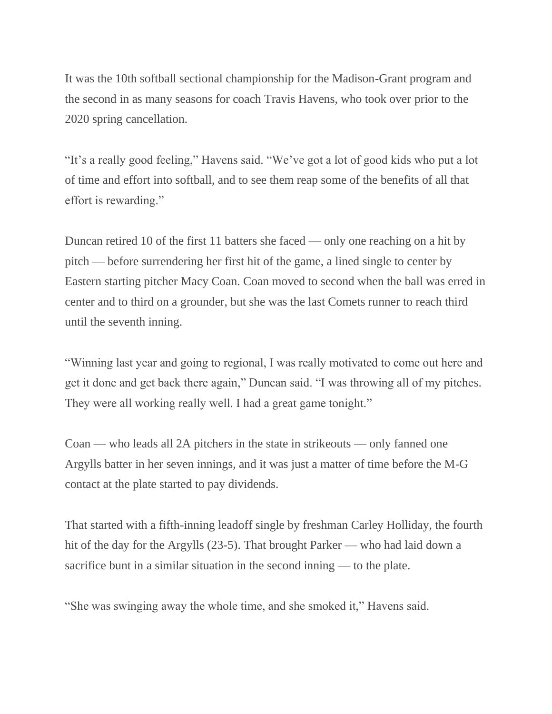It was the 10th softball sectional championship for the Madison-Grant program and the second in as many seasons for coach Travis Havens, who took over prior to the 2020 spring cancellation.

"It's a really good feeling," Havens said. "We've got a lot of good kids who put a lot of time and effort into softball, and to see them reap some of the benefits of all that effort is rewarding."

Duncan retired 10 of the first 11 batters she faced — only one reaching on a hit by pitch — before surrendering her first hit of the game, a lined single to center by Eastern starting pitcher Macy Coan. Coan moved to second when the ball was erred in center and to third on a grounder, but she was the last Comets runner to reach third until the seventh inning.

"Winning last year and going to regional, I was really motivated to come out here and get it done and get back there again," Duncan said. "I was throwing all of my pitches. They were all working really well. I had a great game tonight."

Coan — who leads all 2A pitchers in the state in strikeouts — only fanned one Argylls batter in her seven innings, and it was just a matter of time before the M-G contact at the plate started to pay dividends.

That started with a fifth-inning leadoff single by freshman Carley Holliday, the fourth hit of the day for the Argylls (23-5). That brought Parker — who had laid down a sacrifice bunt in a similar situation in the second inning — to the plate.

"She was swinging away the whole time, and she smoked it," Havens said.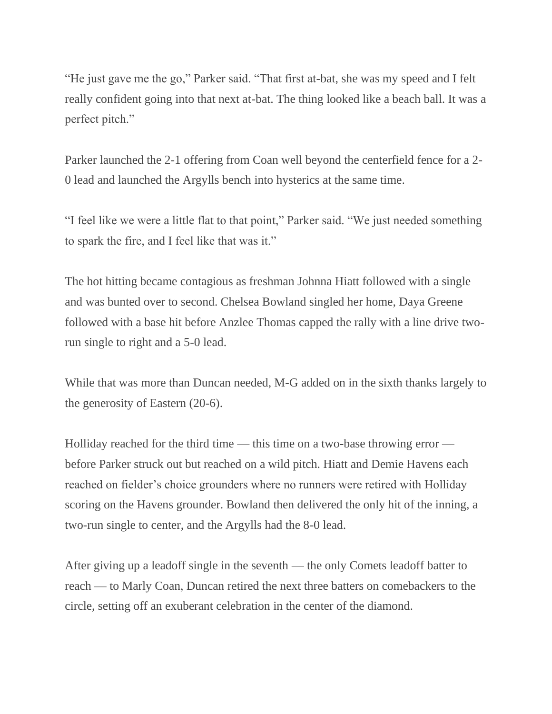"He just gave me the go," Parker said. "That first at-bat, she was my speed and I felt really confident going into that next at-bat. The thing looked like a beach ball. It was a perfect pitch."

Parker launched the 2-1 offering from Coan well beyond the centerfield fence for a 2- 0 lead and launched the Argylls bench into hysterics at the same time.

"I feel like we were a little flat to that point," Parker said. "We just needed something to spark the fire, and I feel like that was it."

The hot hitting became contagious as freshman Johnna Hiatt followed with a single and was bunted over to second. Chelsea Bowland singled her home, Daya Greene followed with a base hit before Anzlee Thomas capped the rally with a line drive tworun single to right and a 5-0 lead.

While that was more than Duncan needed, M-G added on in the sixth thanks largely to the generosity of Eastern (20-6).

Holliday reached for the third time — this time on a two-base throwing error before Parker struck out but reached on a wild pitch. Hiatt and Demie Havens each reached on fielder's choice grounders where no runners were retired with Holliday scoring on the Havens grounder. Bowland then delivered the only hit of the inning, a two-run single to center, and the Argylls had the 8-0 lead.

After giving up a leadoff single in the seventh — the only Comets leadoff batter to reach — to Marly Coan, Duncan retired the next three batters on comebackers to the circle, setting off an exuberant celebration in the center of the diamond.